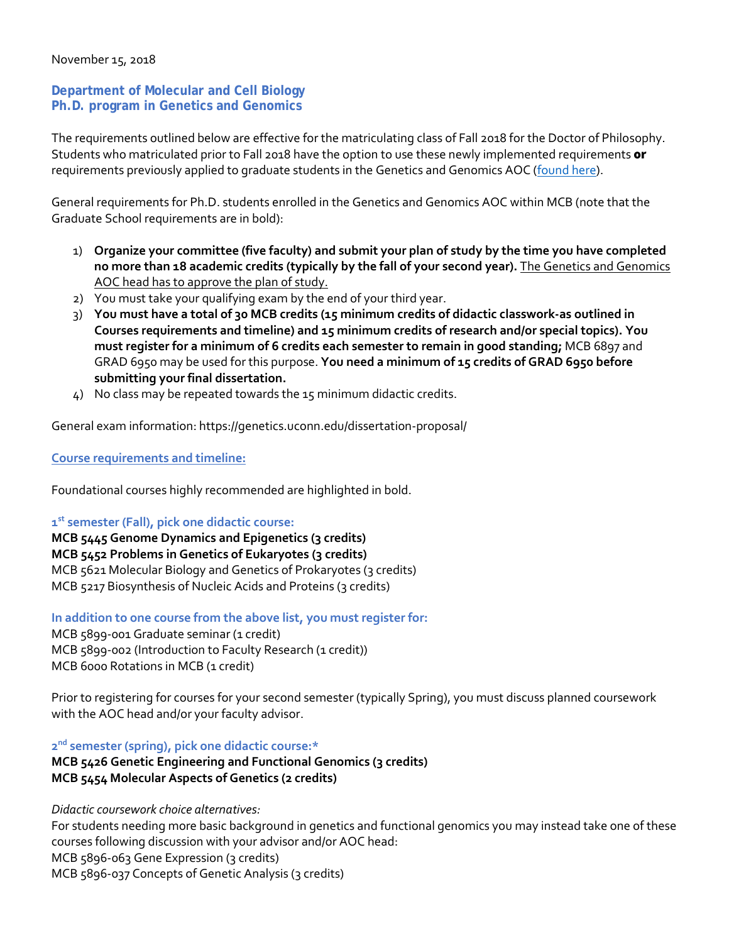#### November 15, 2018

# **Department of Molecular and Cell Biology Ph.D. program in Genetics and Genomics**

The requirements outlined below are effective for the matriculating class of Fall 2018 for the Doctor of Philosophy. Students who matriculated prior to Fall 2018 have the option to use these newly implemented requirements or requirements previously applied to graduate students in the Genetics and Genomics AOC [\(found here\)](https://genetics.uconn.edu/coursework-requirements-for-graduate-students-matriculating-fall-2017-or-before/).

General requirements for Ph.D. students enrolled in the Genetics and Genomics AOC within MCB (note that the Graduate School requirements are in bold):

- 1) **Organize your committee (five faculty) and submit your plan of study by the time you have completed no more than 18 academic credits (typically by the fall of your second year).** The Genetics and Genomics AOC head has to approve the plan of study.
- 2) You must take your qualifying exam by the end of your third year.
- 3) **You must have a total of 30 MCB credits (15 minimum credits of didactic classwork-as outlined in Courses requirements and timeline) and 15 minimum credits of research and/or special topics). You must register for a minimum of 6 credits each semester to remain in good standing;** MCB 6897 and GRAD 6950 may be used for this purpose. **You need a minimum of 15 credits of GRAD 6950 before submitting your final dissertation.**
- 4) No class may be repeated towards the 15 minimum didactic credits.

General exam information: https://genetics.uconn.edu/dissertation-proposal/

# **Course requirements and timeline:**

Foundational courses highly recommended are highlighted in bold.

**1st semester (Fall), pick one didactic course:**

**MCB 5445 Genome Dynamics and Epigenetics (3 credits) MCB 5452 Problems in Genetics of Eukaryotes (3 credits)** MCB 5621 Molecular Biology and Genetics of Prokaryotes (3 credits) MCB 5217 Biosynthesis of Nucleic Acids and Proteins (3 credits)

**In addition to one course from the above list, you must register for:**

MCB 5899-001 Graduate seminar (1 credit) MCB 5899-002 (Introduction to Faculty Research (1 credit)) MCB 6000 Rotations in MCB (1 credit)

Prior to registering for courses for your second semester (typically Spring), you must discuss planned coursework with the AOC head and/or your faculty advisor.

**2nd semester (spring), pick one didactic course:\***

# **MCB 5426 Genetic Engineering and Functional Genomics (3 credits) MCB 5454 Molecular Aspects of Genetics (2 credits)**

*Didactic coursework choice alternatives:*

For students needing more basic background in genetics and functional genomics you may instead take one of these courses following discussion with your advisor and/or AOC head: MCB 5896-063 Gene Expression (3 credits) MCB 5896-037 Concepts of Genetic Analysis (3 credits)